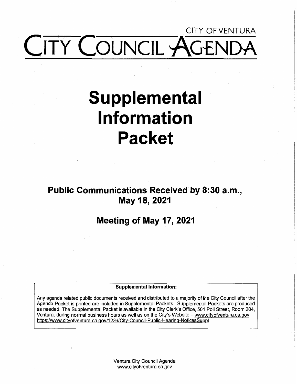# CITY OFVENTURA **ITY COUNCIL AGE**

# **Supplemental Information Packet**

**Public Communications Received by 8:30 a.m., May 18, 2021** 

# **Meeting of May 17, 2021**

#### **Supplemental Information:**

Any agenda related public documents received and distributed to a majority of the City Council after the Agenda Packet is printed are included in Supplemental Packets. Supplemental Packets are produced as needed. The Supplemental Packet is available in the City Clerk's Office, 501 Poli Street, Room 204, Ventura, during normal business hours as well as on the City's Website - www.cityofventura.ca.gov https://www.cityofventura.ca.gov/1236/City-Council-Public-Hearing-NoticesSuppl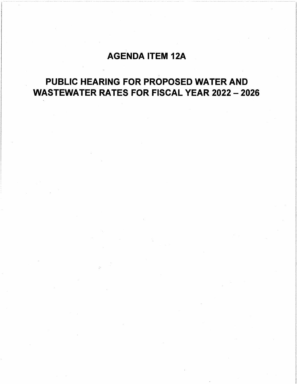# AGENDA ITEM 12A

# PUBLIC HEARING FOR PROPOSED WATER AND WASTEWATER RATES FOR FISCAL YEAR 2022 - 2026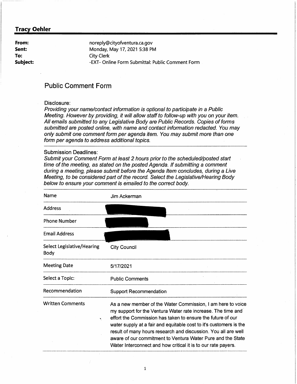**From: Sent: To: Subject:**  noreply@cityofventura.ca.gov Monday, May 17, 2021 5:38 PM City Clerk -EXT- Online Form Submittal: Public Comment Form

# **Public Comment Form**

# Disclosure:

Providing your name/contact information is optional to participate in a Public Meeting. However by providing, it will allow staff to follow-up with you on your item. All emails submitted to any Legislative Body are Public Records. Copies of forms submitted are posted online, with name and contact information redacted. You may only submit one comment form per agenda item. You may submit more than one form per agenda to address additional topics.

## Submission Deadlines:

| <b>Submission Deadlines:</b><br>Submit your Comment Form at least 2 hours prior to the scheduled/posted start<br>time of the meeting, as stated on the posted Agenda. If submitting a comment<br>during a meeting, please submit before the Agenda Item concludes, during a Live<br>Meeting, to be considered part of the record. Select the Legislative/Hearing Body<br>below to ensure your comment is emailed to the correct body. |                                                                                                                                                                                                                                                                                                                                                                                                                                                                    |  |
|---------------------------------------------------------------------------------------------------------------------------------------------------------------------------------------------------------------------------------------------------------------------------------------------------------------------------------------------------------------------------------------------------------------------------------------|--------------------------------------------------------------------------------------------------------------------------------------------------------------------------------------------------------------------------------------------------------------------------------------------------------------------------------------------------------------------------------------------------------------------------------------------------------------------|--|
| Name                                                                                                                                                                                                                                                                                                                                                                                                                                  | Jim Ackerman                                                                                                                                                                                                                                                                                                                                                                                                                                                       |  |
| <b>Address</b>                                                                                                                                                                                                                                                                                                                                                                                                                        |                                                                                                                                                                                                                                                                                                                                                                                                                                                                    |  |
| <b>Phone Number</b>                                                                                                                                                                                                                                                                                                                                                                                                                   |                                                                                                                                                                                                                                                                                                                                                                                                                                                                    |  |
| <b>Email Address</b>                                                                                                                                                                                                                                                                                                                                                                                                                  |                                                                                                                                                                                                                                                                                                                                                                                                                                                                    |  |
| Select Legislative/Hearing<br>Body                                                                                                                                                                                                                                                                                                                                                                                                    | <b>City Council</b>                                                                                                                                                                                                                                                                                                                                                                                                                                                |  |
| <b>Meeting Date</b>                                                                                                                                                                                                                                                                                                                                                                                                                   | 5/17/2021                                                                                                                                                                                                                                                                                                                                                                                                                                                          |  |
| Select a Topic:                                                                                                                                                                                                                                                                                                                                                                                                                       | <b>Public Comments</b>                                                                                                                                                                                                                                                                                                                                                                                                                                             |  |
| Recommendation                                                                                                                                                                                                                                                                                                                                                                                                                        | <b>Support Recommendation</b>                                                                                                                                                                                                                                                                                                                                                                                                                                      |  |
| <b>Written Comments</b>                                                                                                                                                                                                                                                                                                                                                                                                               | As a new member of the Water Commission, I am here to voice<br>my support for the Ventura Water rate increase. The time and<br>effort the Commission has taken to ensure the future of our<br>water supply at a fair and equitable cost to it's customers is the<br>result of many hours research and discussion. You all are well<br>aware of our commitment to Ventura Water Pure and the State<br>Water Interconnect and how critical it is to our rate payers. |  |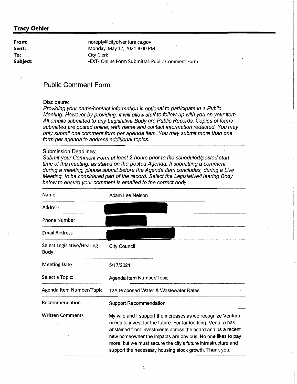**From: Sent: To: Subject:** 

noreply@cityofventura.ca.gov Monday, May 17, 2021 8:00 PM City Clerk -EXT- Online Form Submittal: Public Comment Form

# **Public Comment Form**

## Disclosure:

Providing your name/contact information is optional to participate in a Public Meeting. However by providing, it will allow staff to follow-up with you on your item. All emails submitted to any Legislative Body are Public Records. Copies of forms submitted are posted online, with name and contact information redacted. You may only submit one comment form per agenda item. You may submit more than one form per agenda to address additional topics.

#### Submission Deadlines:

| Name                               | Adam Lee Nelson                                                                                                                                                                                                                                                                                                                                                                      |
|------------------------------------|--------------------------------------------------------------------------------------------------------------------------------------------------------------------------------------------------------------------------------------------------------------------------------------------------------------------------------------------------------------------------------------|
| Address.                           |                                                                                                                                                                                                                                                                                                                                                                                      |
| <b>Phone Number</b>                |                                                                                                                                                                                                                                                                                                                                                                                      |
| <b>Email Address</b>               |                                                                                                                                                                                                                                                                                                                                                                                      |
| Select Legislative/Hearing<br>Body | <b>City Council</b>                                                                                                                                                                                                                                                                                                                                                                  |
| <b>Meeting Date</b>                | 5/17/2021                                                                                                                                                                                                                                                                                                                                                                            |
| Select a Topic:                    | Agenda Item Number/Topic                                                                                                                                                                                                                                                                                                                                                             |
| Agenda Item Number/Topic           | 12A Proposed Water & Wastewater Rates                                                                                                                                                                                                                                                                                                                                                |
| Recommendation                     | <b>Support Recommendation</b>                                                                                                                                                                                                                                                                                                                                                        |
| <b>Written Comments</b>            | My wife and I support the increases as we recognize Ventura<br>needs to invest for the future. For far too long, Ventura has<br>abstained from investments across the board and as a recent<br>new homeowner the impacts are obvious. No one likes to pay<br>more, but we must secure the city's future infrastructure and<br>support the necessary housing stock growth. Thank you. |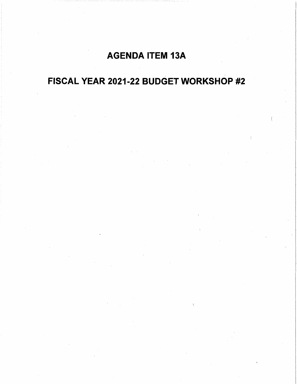# AGENDA ITEM 13A

# FISCAL YEAR 2021-22 BUDGET WORKSHOP #2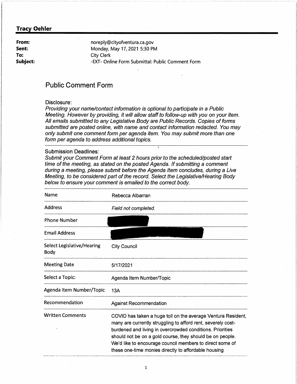**From: Sent: To: Subject:**  noreply@cityofventura.ca.gov Monday, May 17, 2021 5:30 PM City Clerk -EXT- Online Form Submittal: Public Comment Form

# **Public Comment Form**

## Disclosure:

Providing your name/contact information is optional to participate in a Public Meeting. However by providing, it will allow staff to follow-up with you on your item. All emails submitted to any Legislative Body are Public Records. Copies of forms submitted are posted online, with name and contact information redacted. You may only submit one comment form per agenda item. You may submit more than one form per agenda to address additional topics.

#### Submission Deadlines:

Submit your Comment Form at least 2 hours prior to the scheduled/posted start time of the meeting, as stated on the posted Agenda. If submitting a comment during a meeting, please submit before the Agenda Item concludes, during a Live Meeting, to be considered part of the record. Select the Legislative/Hearing Body below to ensure your comment is emailed to the correct body.

| Name                                             | Rebecca Albarran                                                                                                                                                                                                                                                                                                                                                           |
|--------------------------------------------------|----------------------------------------------------------------------------------------------------------------------------------------------------------------------------------------------------------------------------------------------------------------------------------------------------------------------------------------------------------------------------|
| Address                                          | Field not completed.                                                                                                                                                                                                                                                                                                                                                       |
| <b>Phone Number</b>                              |                                                                                                                                                                                                                                                                                                                                                                            |
| <b>Email Address</b>                             |                                                                                                                                                                                                                                                                                                                                                                            |
| <b>Select Legislative/Hearing</b><br><b>Body</b> | <b>City Council</b>                                                                                                                                                                                                                                                                                                                                                        |
| <b>Meeting Date</b>                              | 5/17/2021                                                                                                                                                                                                                                                                                                                                                                  |
| Select a Topic:                                  | Agenda Item Number/Topic                                                                                                                                                                                                                                                                                                                                                   |
| Agenda Item Number/Topic                         | 13A                                                                                                                                                                                                                                                                                                                                                                        |
| Recommendation                                   | <b>Against Recommendation</b>                                                                                                                                                                                                                                                                                                                                              |
| <b>Written Comments</b>                          | COVID has taken a huge toll on the average Ventura Resident,<br>many are currently struggling to afford rent, severely cost-<br>burdened and living in overcrowded conditions. Priorities<br>should not be on a gold course, they should be on people.<br>We'd like to encourage council members to direct some of<br>these one-time monies directly to affordable housing |

1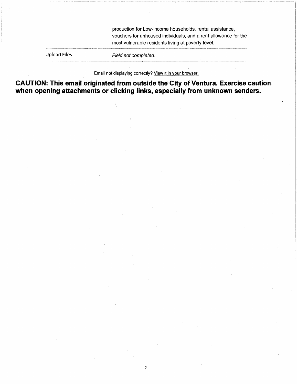production for Low-income households, rental assistance, vouchers for unhoused individuals, and a rent allowance for the most vulnerable residents living at poverty level.

Upload Files

Field not completed.

Email not displaying correctly? View it in your browser.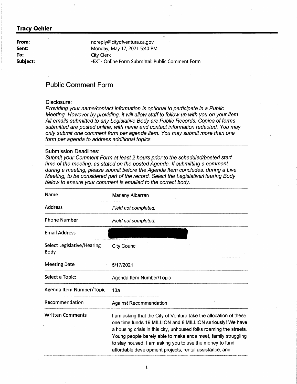**From: Sent: To: Subject:** 

noreply@cityofventura.ca.gov Monday, May 17, 2021 5:40 PM City Clerk -EXT- Online Form Submittal: Public Comment Form

# **Public Comment Form**

# Disclosure:

Providing your name/contact information is optional to participate in a Public Meeting. However by providing, it will allow staff to follow-up with you on your item. All emails submitted to any Legislative Body are Public Records. Copies of forms submitted are posted online, with name and contact information redacted. You may only submit one comment form per agenda item. You may submit more than one form per agenda to address additional topics.

#### Submission Deadlines:

| <b>Name</b>                        | Marleny Albarran                                                                                                                                                                                                                                                                                                                                                                              |
|------------------------------------|-----------------------------------------------------------------------------------------------------------------------------------------------------------------------------------------------------------------------------------------------------------------------------------------------------------------------------------------------------------------------------------------------|
| Address                            | Field not completed.                                                                                                                                                                                                                                                                                                                                                                          |
| <b>Phone Number</b>                | Field not completed.                                                                                                                                                                                                                                                                                                                                                                          |
| <b>Email Address</b>               |                                                                                                                                                                                                                                                                                                                                                                                               |
| Select Legislative/Hearing<br>Body | <b>City Council</b>                                                                                                                                                                                                                                                                                                                                                                           |
| <b>Meeting Date</b>                | 5/17/2021                                                                                                                                                                                                                                                                                                                                                                                     |
| Select a Topic:                    | Agenda Item Number/Topic                                                                                                                                                                                                                                                                                                                                                                      |
| Agenda Item Number/Topic           | 13a                                                                                                                                                                                                                                                                                                                                                                                           |
| Recommendation                     | Against Recommendation                                                                                                                                                                                                                                                                                                                                                                        |
| <b>Written Comments</b>            | I am asking that the City of Ventura take the allocation of these<br>one time funds 19 MILLION and 8 MILLION seriously! We have<br>a housing crisis in this city, unhoused folks roaming the streets.<br>Young people barely able to make ends meet, family struggling<br>to stay housed. I am asking you to use the money to fund<br>affordable development projects, rental assistance, and |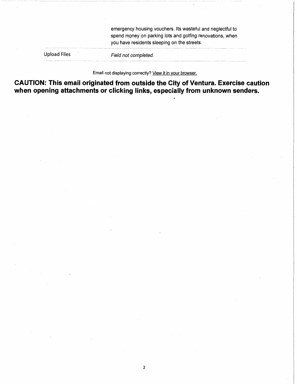emergency housing vouchers. Its wasteful and neglectful to spend money on parking lots and golfing renovations, when you have residents sleeping on the streets.

Upload Files

Field not completed.

Email not displaying correctly? View it in your browser.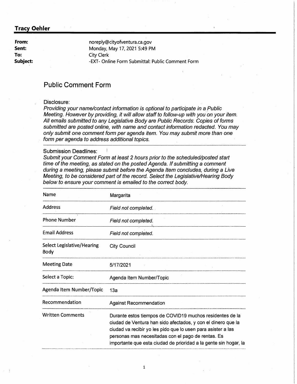**From: Sent: To: Subject:** 

noreply@cityofventura.ca.gov Monday, May 17, 2021'5:49 PM City Clerk -EXT- Online Form Submittal: Public Comment Form

# **Public Comment Form**

## Disclosure:

Providing your name/contact information is optional to participate in a Public Meeting. However by providing, it will allow staff to follow-up with you on your item. All emails submitted to any Legislative Body are Public Records: Copies of forms submitted are posted online, with name and contact information redacted. You may only submit one comment form per agenda item. You may submit more than one form per agenda to address additional topics.

#### Submission Deadlines:

| Name                               | Margarita                                                                                                                                                                                                                                                                                                          |
|------------------------------------|--------------------------------------------------------------------------------------------------------------------------------------------------------------------------------------------------------------------------------------------------------------------------------------------------------------------|
| <b>Address</b>                     | Field not completed.                                                                                                                                                                                                                                                                                               |
| <b>Phone Number</b>                | Field not completed.                                                                                                                                                                                                                                                                                               |
| <b>Email Address</b>               | Field not completed.                                                                                                                                                                                                                                                                                               |
| Select Legislative/Hearing<br>Body | <b>City Council</b>                                                                                                                                                                                                                                                                                                |
| <b>Meeting Date</b>                | 5/17/2021                                                                                                                                                                                                                                                                                                          |
| Select a Topic:                    | Agenda Item Number/Topic                                                                                                                                                                                                                                                                                           |
| Agenda Item Number/Topic           | 13а                                                                                                                                                                                                                                                                                                                |
| Recommendation                     | <b>Against Recommendation</b>                                                                                                                                                                                                                                                                                      |
| <b>Written Comments</b>            | Durante estos tiempos de COVID19 muchos residentes de la<br>ciudad de Ventura han sido afectados, y con el dinero que la<br>ciudad va recibir yo les pido que lo usen para asister a las<br>personas mas necesitadas con el pago de rentas. Es<br>importante que esta ciudad de prioridad a la gente sin hogar, la |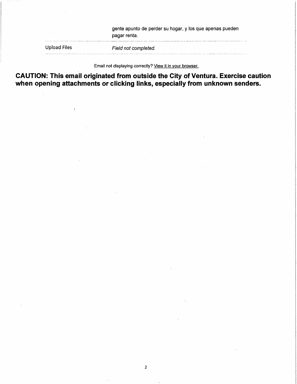gente apunto de perder su hogar, y los que apenas pueden pagar renta.

Upload Files

Field not completed.

Email not displaying correctly? View it in your browser.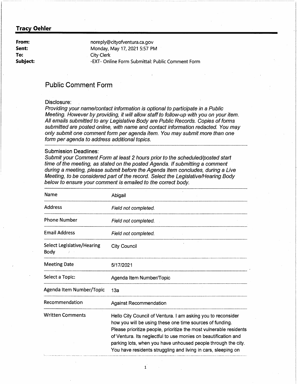**From: Sent: To: Subject:**  noreply@cityofventura.ca.gov Monday, May 17, 2021 5:57 PM City Clerk -EXT- Online Form Submittal: Public Comment Form

# **Public Comment Form**

# Disclosure:

Providing your name/contact information is optional to participate in a Public Meeting. However by providing, it will allow staff to follow-up with you on your item. All emails submitted to any Legislative Body are Public Records. Copies of forms submitted are posted online, with name and contact information redacted. You may only submit one comment form per agenda item. You may submit more than one form per agenda to address additional topics.

#### Submission Deadlines:

Submit your Comment Form at least 2 hours prior to the scheduled/posted start time of the meeting, as stated on the posted Agenda. If submitting a comment during a meeting, please submit before the Agenda Item concludes, during a Live Meeting, to be considered part of the record. Select the Legislative/Hearing Body below to ensure your comment is emailed to the correct body.

| Name                               | Abigail                                                                                                                                                                                                                                                                                                                                                                                            |
|------------------------------------|----------------------------------------------------------------------------------------------------------------------------------------------------------------------------------------------------------------------------------------------------------------------------------------------------------------------------------------------------------------------------------------------------|
| <b>Address</b>                     | Field not completed.                                                                                                                                                                                                                                                                                                                                                                               |
| <b>Phone Number</b>                | Field not completed.                                                                                                                                                                                                                                                                                                                                                                               |
| <b>Email Address</b>               | Field not completed.                                                                                                                                                                                                                                                                                                                                                                               |
| Select Legislative/Hearing<br>Body | <b>City Council</b>                                                                                                                                                                                                                                                                                                                                                                                |
| <b>Meeting Date</b>                | 5/17/2021                                                                                                                                                                                                                                                                                                                                                                                          |
| Select a Topic:                    | Agenda Item Number/Topic                                                                                                                                                                                                                                                                                                                                                                           |
| Agenda Item Number/Topic           | 13а                                                                                                                                                                                                                                                                                                                                                                                                |
| Recommendation                     | <b>Against Recommendation</b>                                                                                                                                                                                                                                                                                                                                                                      |
| <b>Written Comments</b>            | Hello City Council of Ventura. I am asking you to reconsider<br>how you will be using these one time sources of funding.<br>Please prioritize people, prioritize the most vulnerable residents<br>of Ventura. Its neglectful to use monies on beautification and<br>parking lots, when you have unhoused people through the city.<br>You have residents struggling and living in cars, sleeping on |
|                                    |                                                                                                                                                                                                                                                                                                                                                                                                    |

1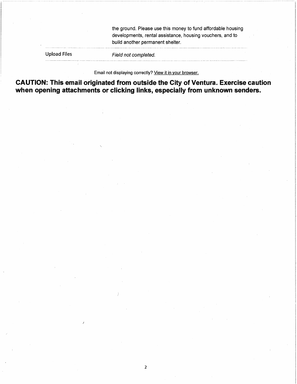the ground. Please use this money to fund affordable housing developments, rental assistance, housing vouchers, and to build another permanent shelter.

Upload Files

Field not completed.

Email not displaying correctly? View it in your browser.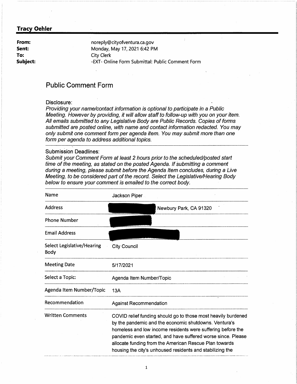**From: Sent: To: Subject:**  noreply@cityofventura.ca.gov Monday, May 17, 2021 6:42 PM City Clerk -EXT- Online Form Submittal: Public Comment Form

# **Public Comment Form**

## Disclosure:

Providing your name/contact information is optional to participate in a Public Meeting. However by providing, it will allow staff to follow-up with you on your item. All emails submitted to any Legislative Body are Public Records. Copies of forms submitted are posted online, with name and contact information redacted. You may only submit one comment form per agenda item. You may submit more than one form per agenda to address additional topics.

#### **Submission Deadlines:**

| Name                               | Jackson Piper                                                                                                                                                                                                                                                                                                                                                                |
|------------------------------------|------------------------------------------------------------------------------------------------------------------------------------------------------------------------------------------------------------------------------------------------------------------------------------------------------------------------------------------------------------------------------|
| <b>Address</b>                     | Newbury Park, CA 91320                                                                                                                                                                                                                                                                                                                                                       |
| <b>Phone Number</b>                |                                                                                                                                                                                                                                                                                                                                                                              |
| <b>Email Address</b>               |                                                                                                                                                                                                                                                                                                                                                                              |
| Select Legislative/Hearing<br>Body | City Council                                                                                                                                                                                                                                                                                                                                                                 |
| <b>Meeting Date</b>                | 5/17/2021                                                                                                                                                                                                                                                                                                                                                                    |
| Select a Topic:                    | Agenda Item Number/Topic                                                                                                                                                                                                                                                                                                                                                     |
| Agenda Item Number/Topic           | 13A                                                                                                                                                                                                                                                                                                                                                                          |
| Recommendation                     | <b>Against Recommendation</b>                                                                                                                                                                                                                                                                                                                                                |
| <b>Written Comments</b>            | COVID relief funding should go to those most heavily burdened<br>by the pandemic and the economic shutdowns. Ventura's<br>homeless and low income residents were suffering before the<br>pandemic even started, and have suffered worse since. Please<br>allocate funding from the American Rescue Plan towards<br>housing the city's unhoused residents and stabilizing the |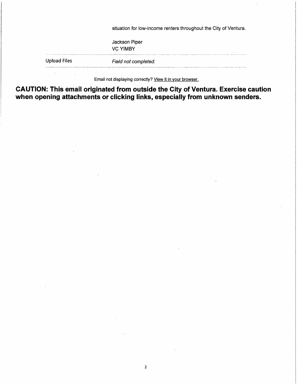situation for low-income renters throughout the City of Ventura.

Jackson Piper **VCYIMBY** 

Upload Files

-------------··-------

Field not completed.

Email not displaying correctly? View it in your browser.